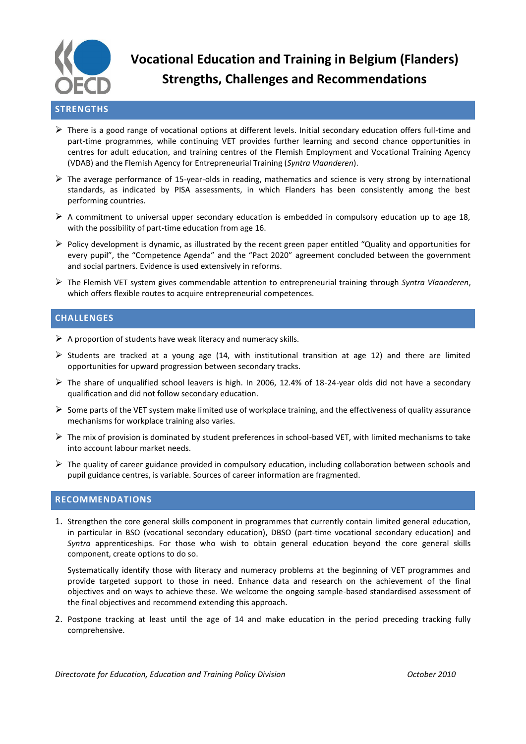

# **Vocational Education and Training in Belgium (Flanders) Strengths, Challenges and Recommendations**

#### $\triangleright$  There is a good range of vocational options at different levels. Initial secondary education offers full-time and part-time programmes, while continuing VET provides further learning and second chance opportunities in centres for adult education, and training centres of the Flemish Employment and Vocational Training Agency (VDAB) and the Flemish Agency for Entrepreneurial Training (*Syntra Vlaanderen*).

- $\triangleright$  The average performance of 15-year-olds in reading, mathematics and science is very strong by international standards, as indicated by PISA assessments, in which Flanders has been consistently among the best performing countries.
- $\triangleright$  A commitment to universal upper secondary education is embedded in compulsory education up to age 18, with the possibility of part-time education from age 16.
- $\triangleright$  Policy development is dynamic, as illustrated by the recent green paper entitled "Quality and opportunities for every pupil", the "Competence Agenda" and the "Pact 2020" agreement concluded between the government and social partners. Evidence is used extensively in reforms.
- The Flemish VET system gives commendable attention to entrepreneurial training through *Syntra Vlaanderen*, which offers flexible routes to acquire entrepreneurial competences.

## **CHALLENGES**

- $\triangleright$  A proportion of students have weak literacy and numeracy skills.
- $\triangleright$  Students are tracked at a young age (14, with institutional transition at age 12) and there are limited opportunities for upward progression between secondary tracks.
- $\triangleright$  The share of unqualified school leavers is high. In 2006, 12.4% of 18-24-year olds did not have a secondary qualification and did not follow secondary education.
- Some parts of the VET system make limited use of workplace training, and the effectiveness of quality assurance mechanisms for workplace training also varies.
- $\triangleright$  The mix of provision is dominated by student preferences in school-based VET, with limited mechanisms to take into account labour market needs.
- $\triangleright$  The quality of career guidance provided in compulsory education, including collaboration between schools and pupil guidance centres, is variable. Sources of career information are fragmented.

## **RECOMMENDATIONS**

1. Strengthen the core general skills component in programmes that currently contain limited general education, in particular in BSO (vocational secondary education), DBSO (part-time vocational secondary education) and *Syntra* apprenticeships. For those who wish to obtain general education beyond the core general skills component, create options to do so.

Systematically identify those with literacy and numeracy problems at the beginning of VET programmes and provide targeted support to those in need. Enhance data and research on the achievement of the final objectives and on ways to achieve these. We welcome the ongoing sample-based standardised assessment of the final objectives and recommend extending this approach.

2. Postpone tracking at least until the age of 14 and make education in the period preceding tracking fully comprehensive.